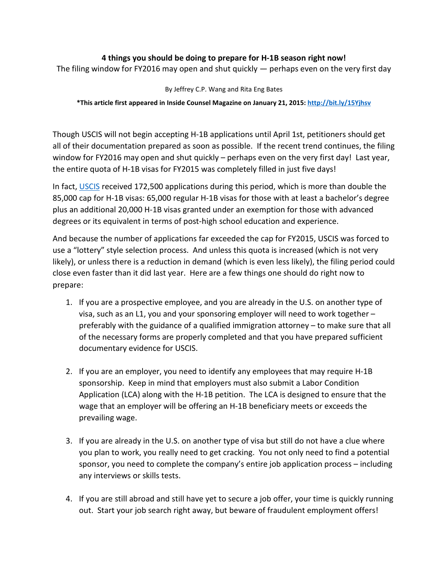#### **4 things you should be doing to prepare for H-1B season right now!**

The filing window for FY2016 may open and shut quickly — perhaps even on the very first day

By Jeffrey C.P. Wang and Rita Eng Bates

**\*This article first appeared in Inside Counsel Magazine on January 21, 2015[: http://bit.ly/15Yjhsv](http://bit.ly/15Yjhsv)**

Though USCIS will not begin accepting H-1B applications until April 1st, petitioners should get all of their documentation prepared as soon as possible. If the recent trend continues, the filing window for FY2016 may open and shut quickly – perhaps even on the very first day! Last year, the entire quota of H-1B visas for FY2015 was completely filled in just five days!

In fact, [USCIS](http://www.uscis.gov/) received 172,500 applications during this period, which is more than double the 85,000 cap for H-1B visas: 65,000 regular H-1B visas for those with at least a bachelor's degree plus an additional 20,000 H-1B visas granted under an exemption for those with advanced degrees or its equivalent in terms of post-high school education and experience.

And because the number of applications far exceeded the cap for FY2015, USCIS was forced to use a "lottery" style selection process. And unless this quota is increased (which is not very likely), or unless there is a reduction in demand (which is even less likely), the filing period could close even faster than it did last year. Here are a few things one should do right now to prepare:

- 1. If you are a prospective employee, and you are already in the U.S. on another type of visa, such as an L1, you and your sponsoring employer will need to work together – preferably with the guidance of a qualified immigration attorney – to make sure that all of the necessary forms are properly completed and that you have prepared sufficient documentary evidence for USCIS.
- 2. If you are an employer, you need to identify any employees that may require H-1B sponsorship. Keep in mind that employers must also submit a Labor Condition Application (LCA) along with the H-1B petition. The LCA is designed to ensure that the wage that an employer will be offering an H-1B beneficiary meets or exceeds the prevailing wage.
- 3. If you are already in the U.S. on another type of visa but still do not have a clue where you plan to work, you really need to get cracking. You not only need to find a potential sponsor, you need to complete the company's entire job application process – including any interviews or skills tests.
- 4. If you are still abroad and still have yet to secure a job offer, your time is quickly running out. Start your job search right away, but beware of fraudulent employment offers!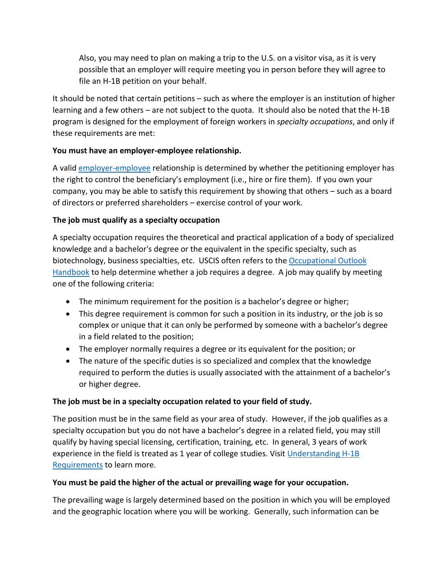Also, you may need to plan on making a trip to the U.S. on a visitor visa, as it is very possible that an employer will require meeting you in person before they will agree to file an H-1B petition on your behalf.

It should be noted that certain petitions – such as where the employer is an institution of higher learning and a few others – are not subject to the quota. It should also be noted that the H-1B program is designed for the employment of foreign workers in *specialty occupations*, and only if these requirements are met:

# **You must have an employer-employee relationship.**

A valid [employer-employee](http://www.uscis.gov/sites/default/files/USCIS/Laws/Memoranda/2010/H1B%20Employer-Employee%20Memo010810.pdf) relationship is determined by whether the petitioning employer has the right to control the beneficiary's employment (i.e., hire or fire them). If you own your company, you may be able to satisfy this requirement by showing that others – such as a board of directors or preferred shareholders – exercise control of your work.

#### **The job must qualify as a specialty occupation**

A specialty occupation requires the theoretical and practical application of a body of specialized knowledge and a bachelor's degree or the equivalent in the specific specialty, such as biotechnology, business specialties, etc. USCIS often refers to the [Occupational Outlook](http://www.bls.gov/ooh/a-z-index.htm)  [Handbook](http://www.bls.gov/ooh/a-z-index.htm) to help determine whether a job requires a degree. A job may qualify by meeting one of the following criteria:

- The minimum requirement for the position is a bachelor's degree or higher;
- This degree requirement is common for such a position in its industry, or the job is so complex or unique that it can only be performed by someone with a bachelor's degree in a field related to the position;
- The employer normally requires a degree or its equivalent for the position; or
- The nature of the specific duties is so specialized and complex that the knowledge required to perform the duties is usually associated with the attainment of a bachelor's or higher degree.

# **The job must be in a specialty occupation related to your field of study.**

The position must be in the same field as your area of study. However, if the job qualifies as a specialty occupation but you do not have a bachelor's degree in a related field, you may still qualify by having special licensing, certification, training, etc. In general, 3 years of work experience in the field is treated as 1 year of college studies. Visit Understanding  $H-1B$ [Requirements](http://www.uscis.gov/eir/visa-guide/h-1b-specialty-occupation/understanding-h-1b-requirements) to learn more.

# **You must be paid the higher of the actual or prevailing wage for your occupation.**

The prevailing wage is largely determined based on the position in which you will be employed and the geographic location where you will be working. Generally, such information can be